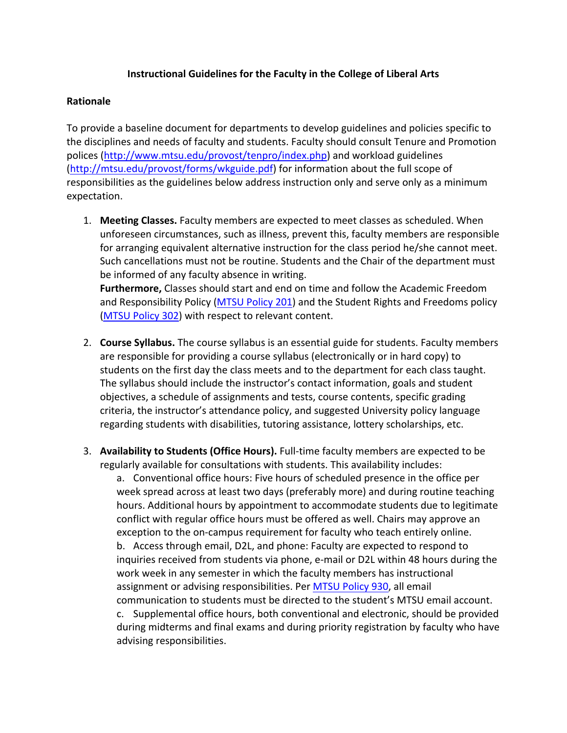## **Instructional Guidelines for the Faculty in the College of Liberal Arts**

## **Rationale**

To provide a baseline document for departments to develop guidelines and policies specific to the disciplines and needs of faculty and students. Faculty should consult Tenure and Promotion polices (http://www.mtsu.edu/provost/tenpro/index.php) and workload guidelines (http://mtsu.edu/provost/forms/wkguide.pdf) for information about the full scope of responsibilities as the guidelines below address instruction only and serve only as a minimum expectation.

1. **Meeting Classes.** Faculty members are expected to meet classes as scheduled. When unforeseen circumstances, such as illness, prevent this, faculty members are responsible for arranging equivalent alternative instruction for the class period he/she cannot meet. Such cancellations must not be routine. Students and the Chair of the department must be informed of any faculty absence in writing. **Furthermore,** Classes should start and end on time and follow the Academic Freedom

and Responsibility Policy (MTSU Policy 201) and the Student Rights and Freedoms policy (MTSU Policy 302) with respect to relevant content.

- 2. **Course Syllabus.** The course syllabus is an essential guide for students. Faculty members are responsible for providing a course syllabus (electronically or in hard copy) to students on the first day the class meets and to the department for each class taught. The syllabus should include the instructor's contact information, goals and student objectives, a schedule of assignments and tests, course contents, specific grading criteria, the instructor's attendance policy, and suggested University policy language regarding students with disabilities, tutoring assistance, lottery scholarships, etc.
- 3. **Availability to Students (Office Hours).** Full-time faculty members are expected to be regularly available for consultations with students. This availability includes:

a. Conventional office hours: Five hours of scheduled presence in the office per week spread across at least two days (preferably more) and during routine teaching hours. Additional hours by appointment to accommodate students due to legitimate conflict with regular office hours must be offered as well. Chairs may approve an exception to the on-campus requirement for faculty who teach entirely online.

b. Access through email, D2L, and phone: Faculty are expected to respond to inquiries received from students via phone, e-mail or D2L within 48 hours during the work week in any semester in which the faculty members has instructional assignment or advising responsibilities. Per MTSU Policy 930, all email communication to students must be directed to the student's MTSU email account. c. Supplemental office hours, both conventional and electronic, should be provided during midterms and final exams and during priority registration by faculty who have advising responsibilities.